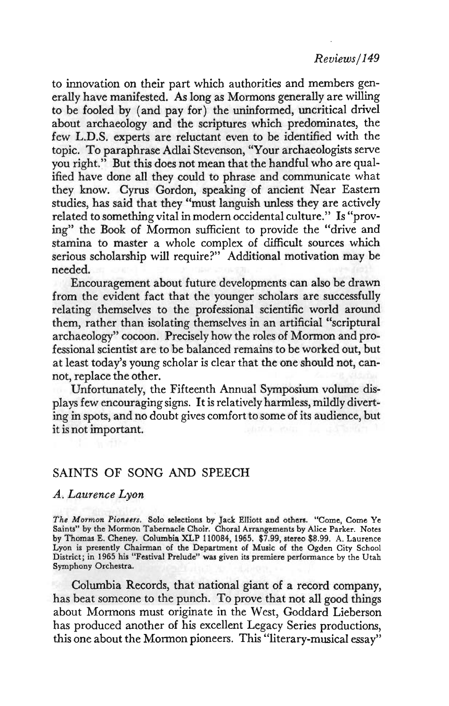to innovation on their part which authorities and members generally have manifested. As long as Mormons generally are willing to be fooled by (and pay for) the uninformed, uncritical drivel about archaeology and the scriptures which predominates, the few L.D.S. experts are reluctant even to be identified with the topic. To paraphrase Adlai Stevenson, "Your archaeologists serve you right." But this does not mean that the handful who are qualified have done all they could to phrase and communicate what they know. Cyrus Gordon, speaking of ancient Near Eastern studies, has said that they "must languish unless they are actively related to something vital in modern occidental culture." Is "proving" the Book of Mormon sufficient to provide the "drive and stamina to master a whole complex of difficult sources which serious scholarship will require?" Additional motivation may be needed.

Encouragement about future developments can also be drawn from the evident fact that the younger scholars are successfully relating themselves to the professional scientific world around them, rather than isolating themselves in an artificial "scriptural archaeology" cocoon. Precisely how the roles of Mormon and professional scientist are to be balanced remains to be worked out, but at least today's young scholar is clear that the one should not, cannot, replace the other.

Unfortunately, the Fifteenth Annual Symposium volume displays few encouraging signs. It is relatively harmless, mildly diverting in spots, and no doubt gives comfort to some of its audience, but it is not important.

## SAINTS OF SONG AND SPEECH

## *A. Laurence Lyon*

*The Mormon Pioneers.* Solo selections by Jack Elliott and others. "Come, Come Ye Saints" by the Mormon Tabernacle Choir. Choral Arrangements by Alice Parker. Notes by Thomas E. Cheney. Columbia XLP 110084, 1965. \$7.99, stereo \$8.99. A. Laurence Lyon is presently Chairman of the Department of Music of the Ogden City School District; in 1965 his "Festival Prelude" was given its premiere performance by the Utah Symphony Orchestra.

Columbia Records, that national giant of a record company, has beat someone to the punch. To prove that not all good things about Mormons must originate in the West, Goddard Lieberson has produced another of his excellent Legacy Series productions, this one about the Mormon pioneers. This "literary-musical essay"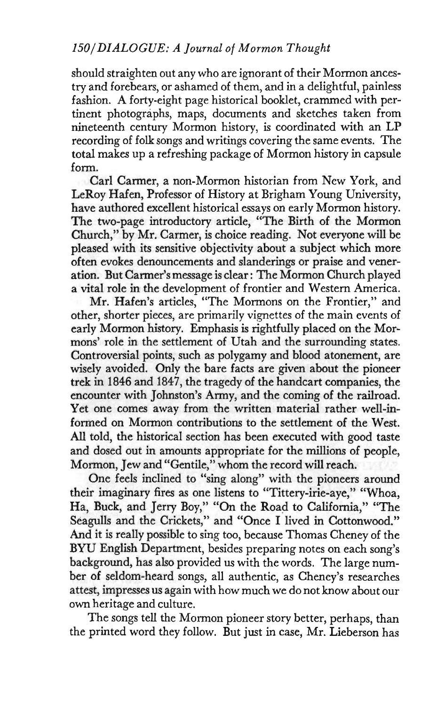should straighten out any who are ignorant of their Mormon ancestry and forebears, or ashamed of them, and in a delightful, painless fashion. A forty-eight page historical booklet, crammed with pertinent photographs, maps, documents and sketches taken from nineteenth century Mormon history, is coordinated with an LP recording of folk songs and writings covering the same events. The total makes up a refreshing package of Mormon history in capsule form.

Carl Carmer, a non-Mormon historian from New York, and LeRoy Hafen, Professor of History at Brigham Young University, have authored excellent historical essays on early Mormon history. The two-page introductory article, "The Birth of the Mormon Church," by Mr. Carmer, is choice reading. Not everyone will be pleased with its sensitive objectivity about a subject which more often evokes denouncements and slanderings or praise and veneration. But Carmer's message is clear: The Mormon Church played a vital role in the development of frontier and Western America.

Mr. Hafen's articles, "The Mormons on the Frontier," and other, shorter pieces, are primarily vignettes of the main events of early Mormon history. Emphasis is rightfully placed on the Mormons' role in the settlement of Utah and the surrounding states. Controversial points, such as polygamy and blood atonement, are wisely avoided. Only the bare facts are given about the pioneer trek in 1846 and 1847, the tragedy of the handcart companies, the encounter with Johnston's Army, and the coming of the railroad. Yet one comes away from the written material rather well-informed on Mormon contributions to the settlement of the West. All told, the historical section has been executed with good taste and dosed out in amounts appropriate for the millions of people, Mormon, Jew and "Gentile," whom the record will reach.

One feels inclined to "sing along" with the pioneers around their imaginary fires as one listens to "Tittery-irie-aye," "Whoa, Ha, Buck, and Jerry Boy," "On the Road to California," "The Seagulls and the Crickets," and "Once I lived in Cottonwood." And it is really possible to sing too, because Thomas Cheney of the BYU English Department, besides preparing notes on each song's background, has also provided us with the words. The large number of seldom-heard songs, all authentic, as Cheney's researches attest, impresses us again with how much we do not know about our own heritage and culture.

The songs tell the Mormon pioneer story better, perhaps, than the printed word they follow. But just in case, Mr. Lieberson has